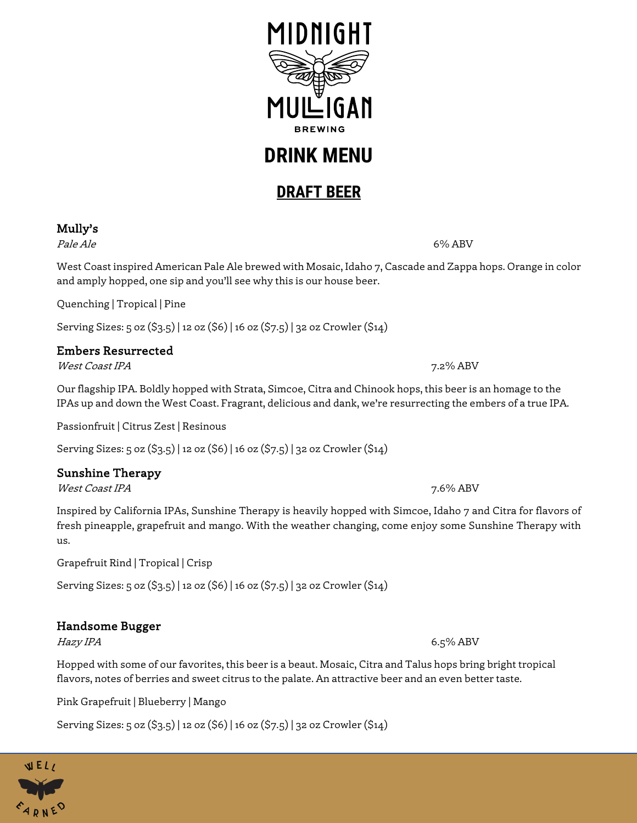**DRINK MENU**

# **DRAFT BEER**

# Mully's

Pale Ale<sup>o</sup> 6% ABV

West Coast inspired American Pale Ale brewed with Mosaic, Idaho 7, Cascade and Zappa hops. Orange in color and amply hopped, one sip and you'll see why this is our house beer.

Quenching | Tropical | Pine

Serving Sizes: 5 oz (\$3.5) | 12 oz (\$6) | 16 oz (\$7.5) | 32 oz Crowler (\$14)

### Embers Resurrected

West Coast IPA 7.2% ABV

Our flagship IPA. Boldly hopped with Strata, Simcoe, Citra and Chinook hops, this beer is an homage to the IPAs up and down the West Coast. Fragrant, delicious and dank, we're resurrecting the embers of a true IPA.

Serving Sizes: 5 oz (\$3.5) | 12 oz (\$6) | 16 oz (\$7.5) | 32 oz Crowler (\$14)

### Sunshine Therapy

West Coast IPA 7.6% ABV

Inspired by California IPAs, Sunshine Therapy is heavily hopped with Simcoe, Idaho 7 and Citra for flavors of fresh pineapple, grapefruit and mango. With the weather changing, come enjoy some Sunshine Therapy with us.

Grapefruit Rind | Tropical | Crisp

Serving Sizes: 5 oz (\$3.5) | 12 oz (\$6) | 16 oz (\$7.5) | 32 oz Crowler (\$14)

## Handsome Bugger

Hopped with some of our favorites, this beer is a beaut. Mosaic, Citra and Talus hops bring bright tropical flavors, notes of berries and sweet citrus to the palate. An attractive beer and an even better taste.

Pink Grapefruit | Blueberry | Mango

Serving Sizes: 5 oz (\$3.5) | 12 oz (\$6) | 16 oz (\$7.5) | 32 oz Crowler (\$14)

Passionfruit | Citrus Zest | Resinous

**WEL** EADNE<sup>Q</sup>



Hazy IPA 6.5% ABV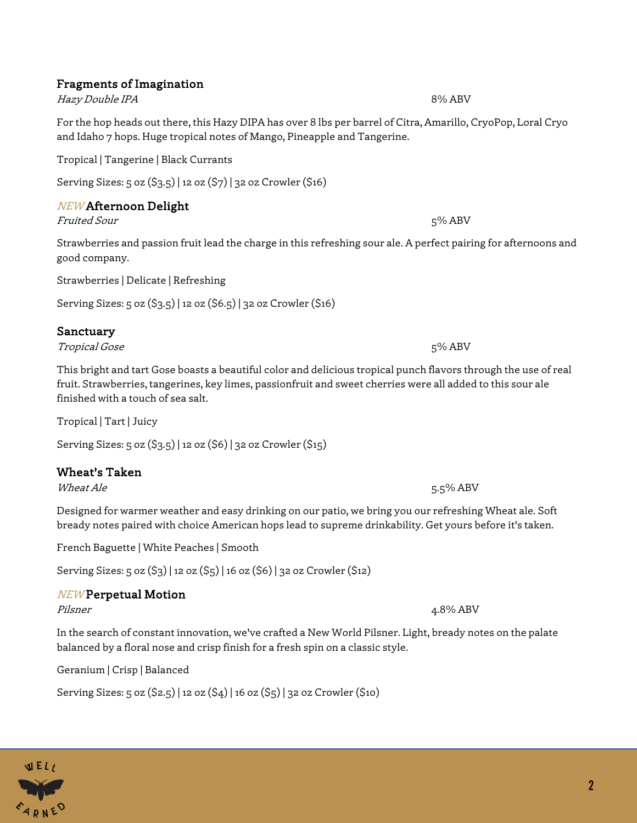### Fragments of Imagination

Hazy Double IPA 8% ABV

For the hop heads out there, this Hazy DIPA has over 8 lbs per barrel of Citra, Amarillo, CryoPop, Loral Cryo and Idaho 7 hops. Huge tropical notes of Mango, Pineapple and Tangerine.

Tropical | Tangerine | Black Currants

Serving Sizes: 5 oz (\$3.5) | 12 oz (\$7) | 32 oz Crowler (\$16)

## NEW Afternoon Delight

Fruited Sour 5% ABV

Strawberries and passion fruit lead the charge in this refreshing sour ale. A perfect pairing for afternoons and good company.

Strawberries | Delicate | Refreshing

Serving Sizes: 5 oz (\$3.5) | 12 oz (\$6.5) | 32 oz Crowler (\$16)

## Sanctuary

Tropical Gose 5% ABV

This bright and tart Gose boasts a beautiful color and delicious tropical punch flavors through the use of real fruit. Strawberries, tangerines, key limes, passionfruit and sweet cherries were all added to this sour ale finished with a touch of sea salt.

Tropical | Tart | Juicy

Serving Sizes: 5 oz (\$3.5) | 12 oz (\$6) | 32 oz Crowler (\$15)

# Wheat's Taken

Wheat Ale 5.5% ABV

Designed for warmer weather and easy drinking on our patio, we bring you our refreshing Wheat ale. Soft bready notes paired with choice American hops lead to supreme drinkability. Get yours before it's taken.

French Baguette | White Peaches | Smooth

Serving Sizes: 5 oz (\$3) | 12 oz (\$5) | 16 oz (\$6) | 32 oz Crowler (\$12)

## NEW Perpetual Motion

In the search of constant innovation, we've crafted a New World Pilsner. Light, bready notes on the palate balanced by a floral nose and crisp finish for a fresh spin on a classic style.

Geranium | Crisp | Balanced

Serving Sizes: 5 oz (\$2.5) | 12 oz (\$4) | 16 oz (\$5) | 32 oz Crowler (\$10)

# Pilsner 4.8% ABV

**WELL** ESADNEP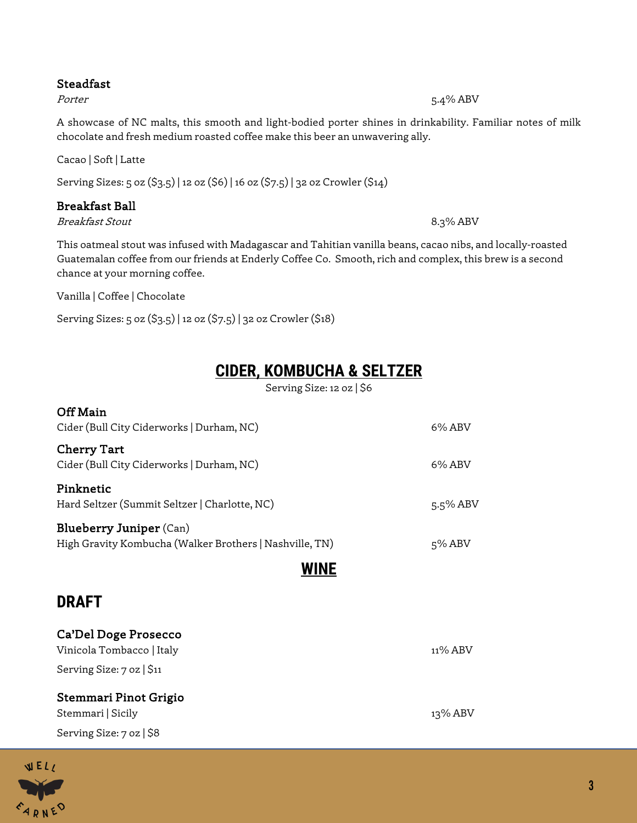#### Steadfast

A showcase of NC malts, this smooth and light-bodied porter shines in drinkability. Familiar notes of milk chocolate and fresh medium roasted coffee make this beer an unwavering ally.

Cacao | Soft | Latte

Serving Sizes: 5 oz (\$3.5) | 12 oz (\$6) | 16 oz (\$7.5) | 32 oz Crowler (\$14)

### Breakfast Ball

Breakfast Stout 8.3% ABV

This oatmeal stout was infused with Madagascar and Tahitian vanilla beans, cacao nibs, and locally-roasted Guatemalan coffee from our friends at Enderly Coffee Co. Smooth, rich and complex, this brew is a second chance at your morning coffee.

Vanilla | Coffee | Chocolate

Serving Sizes: 5 oz (\$3.5) | 12 oz (\$7.5) | 32 oz Crowler (\$18)

# **CIDER, KOMBUCHA & SELTZER**

Serving Size: 12 oz | \$6

| Off Main<br>Cider (Bull City Ciderworks   Durham, NC)                                     | 6% ABV      |
|-------------------------------------------------------------------------------------------|-------------|
| Cherry Tart<br>Cider (Bull City Ciderworks   Durham, NC)                                  | $6\%$ ABV   |
| Pinknetic<br>Hard Seltzer (Summit Seltzer   Charlotte, NC)                                | $5.5\%$ ABV |
| <b>Blueberry Juniper (Can)</b><br>High Gravity Kombucha (Walker Brothers   Nashville, TN) | $5\%$ ABV   |
| <b>WINE</b>                                                                               |             |
| <b>DRAFT</b>                                                                              |             |
| Ca'Del Doge Prosecco<br>Vinicola Tombacco   Italy                                         | $11\%$ ABV  |
| Serving Size: $7$ oz $\frac{5}{12}$                                                       |             |
| Stemmari Pinot Grigio<br>Stemmari   Sicily                                                | $13\%$ ABV  |

Serving Size: 7 oz | \$8



#### Porter 5.4% ABV